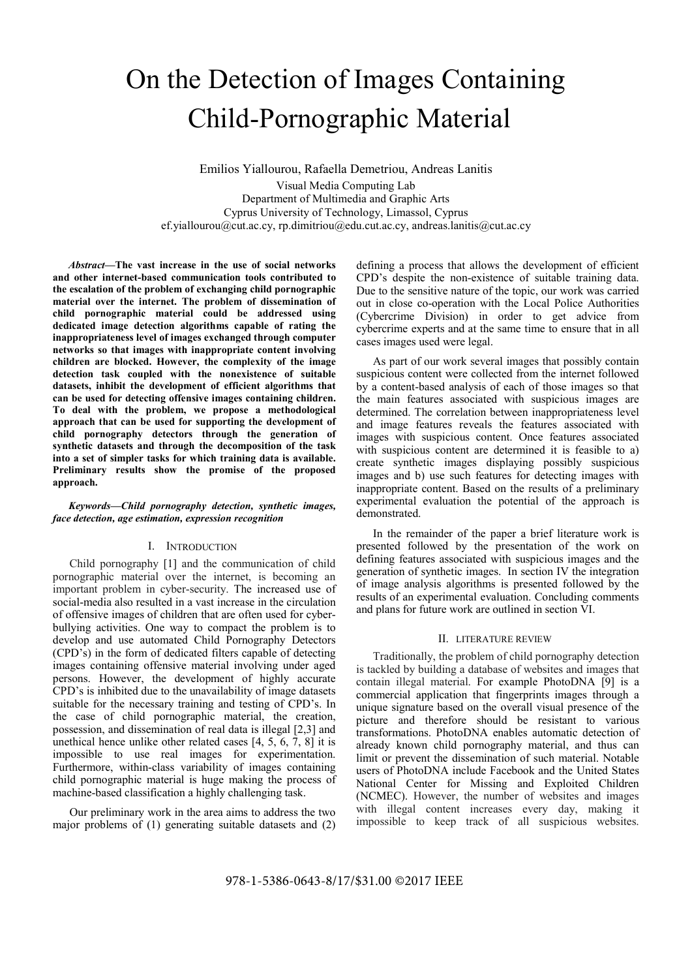# On the Detection of Images Containing Child-Pornographic Material

Emilios Yiallourou, Rafaella Demetriou, Andreas Lanitis Visual Media Computing Lab Department of Multimedia and Graphic Arts Cyprus University of Technology, Limassol, Cyprus ef.yiallourou@cut.ac.cy, rp.dimitriou@edu.cut.ac.cy, andreas.lanitis@cut.ac.cy

Abstract—The vast increase in the use of social networks and other internet-based communication tools contributed to the escalation of the problem of exchanging child pornographic material over the internet. The problem of dissemination of child pornographic material could be addressed using dedicated image detection algorithms capable of rating the inappropriateness level of images exchanged through computer networks so that images with inappropriate content involving children are blocked. However, the complexity of the image detection task coupled with the nonexistence of suitable datasets, inhibit the development of efficient algorithms that can be used for detecting offensive images containing children. To deal with the problem, we propose a methodological approach that can be used for supporting the development of child pornography detectors through the generation of synthetic datasets and through the decomposition of the task into a set of simpler tasks for which training data is available. Preliminary results show the promise of the proposed approach.

### Keywords—Child pornography detection, synthetic images, face detection, age estimation, expression recognition

Child pornography [1] and the communication of child pornographic material over the internet, is becoming an important problem in cyber-security. The increased use of social-media also resulted in a vast increase in the circulation of offensive images of children that are often used for cyberbullying activities. One way to compact the problem is to develop and use automated Child Pornography Detectors (CPD's) in the form of dedicated filters capable of detecting images containing offensive material involving under aged persons. However, the development of highly accurate CPD's is inhibited due to the unavailability of image datasets suitable for the necessary training and testing of CPD's. In the case of child pornographic material, the creation, possession, and dissemination of real data is illegal [2,3] and unethical hence unlike other related cases  $[4, 5, 6, 7, 8]$  it is impossible to use real images for experimentation. Furthermore, within-class variability of images containing child pornographic material is huge making the process of machine-based classification a highly challenging task.

Our preliminary work in the area aims to address the two major problems of (1) generating suitable datasets and (2) defining a process that allows the development of efficient CPD's despite the non-existence of suitable training data. Due to the sensitive nature of the topic, our work was carried out in close co-operation with the Local Police Authorities (Cybercrime Division) in order to get advice from cybercrime experts and at the same time to ensure that in all cases images used were legal.

As part of our work several images that possibly contain suspicious content were collected from the internet followed by a content-based analysis of each of those images so that the main features associated with suspicious images are determined. The correlation between inappropriateness level and image features reveals the features associated with images with suspicious content. Once features associated with suspicious content are determined it is feasible to a) create synthetic images displaying possibly suspicious images and b) use such features for detecting images with inappropriate content. Based on the results of a preliminary experimental evaluation the potential of the approach is demonstrated.

I. INTRODUCTION presented followed by the presentation of the work on In the remainder of the paper a brief literature work is defining features associated with suspicious images and the generation of synthetic images. In section IV the integration of image analysis algorithms is presented followed by the results of an experimental evaluation. Concluding comments and plans for future work are outlined in section VI.

### II. LITERATURE REVIEW

Traditionally, the problem of child pornography detection is tackled by building a database of websites and images that contain illegal material. For example PhotoDNA [9] is a commercial application that fingerprints images through a unique signature based on the overall visual presence of the picture and therefore should be resistant to various transformations. PhotoDNA enables automatic detection of already known child pornography material, and thus can limit or prevent the dissemination of such material. Notable users of PhotoDNA include Facebook and the United States National Center for Missing and Exploited Children (NCMEC). However, the number of websites and images with illegal content increases every day, making it impossible to keep track of all suspicious websites.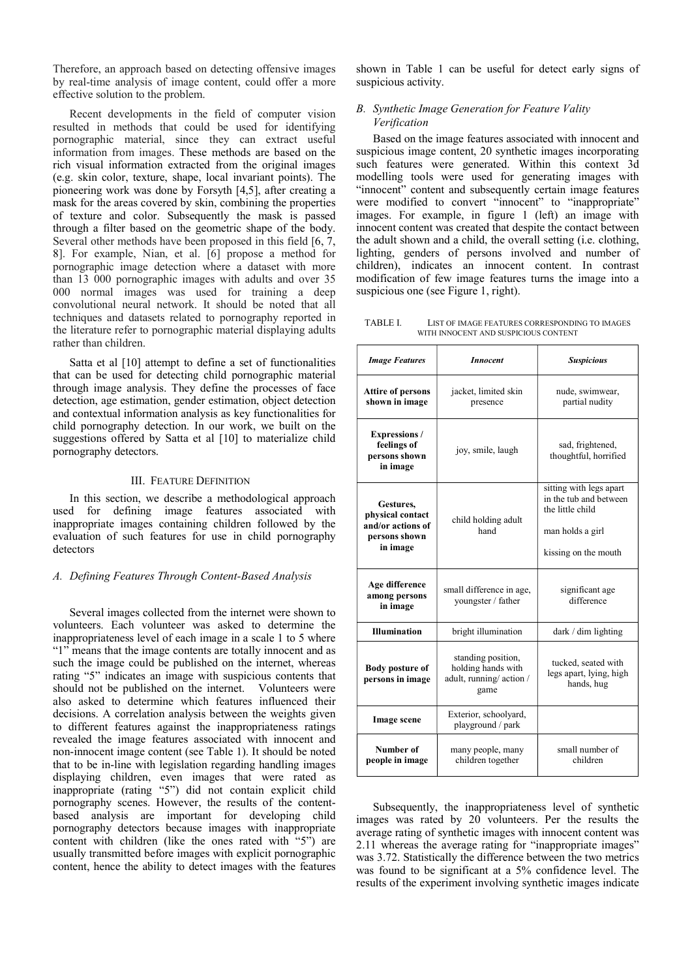Therefore, an approach based on detecting offensive images by real-time analysis of image content, could offer a more effective solution to the problem.

resulted in methods that could be used for identifying pornographic material, since they can extract useful information from images. These methods are based on the rich visual information extracted from the original images (e.g. skin color, texture, shape, local invariant points). The pioneering work was done by Forsyth [4,5], after creating a mask for the areas covered by skin, combining the properties of texture and color. Subsequently the mask is passed through a filter based on the geometric shape of the body. Several other methods have been proposed in this field [6, 7, 8]. For example, Nian, et al. [6] propose a method for pornographic image detection where a dataset with more than 13 000 pornographic images with adults and over 35 000 normal images was used for training a deep convolutional neural network. It should be noted that all techniques and datasets related to pornography reported in the literature refer to pornographic material displaying adults rather than children.

Several images collected from the internet were shown to volunteers. Each volunteer was asked to determine the inappropriateness level of each image in a scale 1 to 5 where "1" means that the image contents are totally innocent and as such the image could be published on the internet, whereas rating "5" indicates an image with suspicious contents that should not be published on the internet. Volunteers were also asked to determine which features influenced their decisions. A correlation analysis between the weights given to different features against the inappropriateness ratings revealed the image features associated with innocent and non-innocent image content (see Table 1). It should be noted that to be in-line with legislation regarding handling images displaying children, even images that were rated as inappropriate (rating "5") did not contain explicit child pornography scenes. However, the results of the contentbased analysis are important for developing child images was ra pornography detectors because images with inappropriate succession average rating of content with children (like the ones rated with "5") are usually transmitted before images with explicit pornographic content, hence the ability to detect images with the features

shown in Table 1 can be useful for detect early signs of suspicious activity.

### Recent developments in the field of computer vision B. Synthetic Image Generation for Feature Vality Verification

Shown in Table 1 can be useful for detect early signs of<br>suspicious activity.<br>B. Synthetic Image Generation for Feature Vality<br>Verification<br>Based on the image features associated with innocent and<br>suspicious image content, Based on the image features associated with innocent and suspicious image content, 20 synthetic images incorporating such features were generated. Within this context 3d modelling tools were used for generating images with "innocent" content and subsequently certain image features movem comem and subsequently comem many comes that images. For example, in figure 1 (left) an image with innocent content was created that despite the contact between the adult shown and a child, the overall setting (i.e. clothing, lighting, genders of persons involved and number of children), indicates an innocent content. In contrast modification of few image features turns the image into a suspicious one (see Figure 1, right).

LIST OF IMAGE FEATURES CORRESPONDING TO IMAGES WITH INNOCENT AND SUSPICIOUS CONTENT

| $(c, g, s)$ skill color, texture, shape, local invariant points). The<br>pioneering work was done by Forsyth [4,5], after creating a<br>mask for the areas covered by skin, combining the properties<br>of texture and color. Subsequently the mask is passed<br>through a filter based on the geometric shape of the body.<br>Several other methods have been proposed in this field [6, 7,<br>8]. For example, Nian, et al. [6] propose a method for<br>pornographic image detection where a dataset with more<br>than 13 000 pornographic images with adults and over 35<br>000 normal images was used for training a deep<br>convolutional neural network. It should be noted that all<br>techniques and datasets related to pornography reported in<br>the literature refer to pornographic material displaying adults<br>rather than children. | moderning tools were used for generating mages with<br>"innocent" content and subsequently certain image features<br>were modified to convert "innocent" to "inappropriate"<br>images. For example, in figure 1 (left) an image with<br>innocent content was created that despite the contact between<br>the adult shown and a child, the overall setting (i.e. clothing,<br>lighting, genders of persons involved and number of<br>children), indicates an innocent content. In contrast<br>modification of few image features turns the image into a<br>suspicious one (see Figure 1, right).<br>TABLE I.<br>LIST OF IMAGE FEATURES CORRESPONDING TO IMAGES<br>WITH INNOCENT AND SUSPICIOUS CONTENT |                                                                             |                                                                                        |  |
|------------------------------------------------------------------------------------------------------------------------------------------------------------------------------------------------------------------------------------------------------------------------------------------------------------------------------------------------------------------------------------------------------------------------------------------------------------------------------------------------------------------------------------------------------------------------------------------------------------------------------------------------------------------------------------------------------------------------------------------------------------------------------------------------------------------------------------------------------|-------------------------------------------------------------------------------------------------------------------------------------------------------------------------------------------------------------------------------------------------------------------------------------------------------------------------------------------------------------------------------------------------------------------------------------------------------------------------------------------------------------------------------------------------------------------------------------------------------------------------------------------------------------------------------------------------------|-----------------------------------------------------------------------------|----------------------------------------------------------------------------------------|--|
| Satta et al [10] attempt to define a set of functionalities                                                                                                                                                                                                                                                                                                                                                                                                                                                                                                                                                                                                                                                                                                                                                                                          | <b>Image Features</b>                                                                                                                                                                                                                                                                                                                                                                                                                                                                                                                                                                                                                                                                                 | <b>Innocent</b>                                                             | <b>Suspicious</b>                                                                      |  |
| that can be used for detecting child pornographic material<br>through image analysis. They define the processes of face<br>detection, age estimation, gender estimation, object detection<br>and contextual information analysis as key functionalities for                                                                                                                                                                                                                                                                                                                                                                                                                                                                                                                                                                                          | <b>Attire of persons</b><br>shown in image                                                                                                                                                                                                                                                                                                                                                                                                                                                                                                                                                                                                                                                            | jacket, limited skin<br>presence                                            | nude, swimwear,<br>partial nudity                                                      |  |
| child pornography detection. In our work, we built on the<br>suggestions offered by Satta et al [10] to materialize child<br>pornography detectors.                                                                                                                                                                                                                                                                                                                                                                                                                                                                                                                                                                                                                                                                                                  | <b>Expressions</b> /<br>feelings of<br>persons shown<br>in image                                                                                                                                                                                                                                                                                                                                                                                                                                                                                                                                                                                                                                      | joy, smile, laugh                                                           | sad, frightened,<br>thoughtful, horrified                                              |  |
| <b>III. FEATURE DEFINITION</b>                                                                                                                                                                                                                                                                                                                                                                                                                                                                                                                                                                                                                                                                                                                                                                                                                       |                                                                                                                                                                                                                                                                                                                                                                                                                                                                                                                                                                                                                                                                                                       |                                                                             | sitting with legs apart                                                                |  |
| In this section, we describe a methodological approach<br>used for defining image features associated with<br>inappropriate images containing children followed by the<br>evaluation of such features for use in child pornography<br>detectors                                                                                                                                                                                                                                                                                                                                                                                                                                                                                                                                                                                                      | Gestures,<br>physical contact<br>and/or actions of<br>persons shown<br>in image                                                                                                                                                                                                                                                                                                                                                                                                                                                                                                                                                                                                                       | child holding adult<br>hand                                                 | in the tub and between<br>the little child<br>man holds a girl<br>kissing on the mouth |  |
| A. Defining Features Through Content-Based Analysis<br>Several images collected from the internet were shown to                                                                                                                                                                                                                                                                                                                                                                                                                                                                                                                                                                                                                                                                                                                                      | Age difference<br>among persons<br>in image                                                                                                                                                                                                                                                                                                                                                                                                                                                                                                                                                                                                                                                           | small difference in age,<br>youngster / father                              | significant age<br>difference                                                          |  |
| volunteers. Each volunteer was asked to determine the<br>inappropriateness level of each image in a scale 1 to 5 where                                                                                                                                                                                                                                                                                                                                                                                                                                                                                                                                                                                                                                                                                                                               | <b>Illumination</b>                                                                                                                                                                                                                                                                                                                                                                                                                                                                                                                                                                                                                                                                                   | bright illumination                                                         | $dark / dim$ lighting                                                                  |  |
| "1" means that the image contents are totally innocent and as<br>such the image could be published on the internet, whereas<br>rating "5" indicates an image with suspicious contents that<br>should not be published on the internet. Volunteers were<br>also asked to determine which features influenced their                                                                                                                                                                                                                                                                                                                                                                                                                                                                                                                                    | <b>Body posture of</b><br>persons in image                                                                                                                                                                                                                                                                                                                                                                                                                                                                                                                                                                                                                                                            | standing position,<br>holding hands with<br>adult, running/action /<br>game | tucked, seated with<br>legs apart, lying, high<br>hands, hug                           |  |
| decisions. A correlation analysis between the weights given<br>to different features against the inappropriateness ratings                                                                                                                                                                                                                                                                                                                                                                                                                                                                                                                                                                                                                                                                                                                           | Image scene                                                                                                                                                                                                                                                                                                                                                                                                                                                                                                                                                                                                                                                                                           | Exterior, schoolyard,<br>playground / park                                  |                                                                                        |  |
| revealed the image features associated with innocent and<br>non-innocent image content (see Table 1). It should be noted<br>that to be in-line with legislation regarding handling images                                                                                                                                                                                                                                                                                                                                                                                                                                                                                                                                                                                                                                                            | Number of<br>people in image                                                                                                                                                                                                                                                                                                                                                                                                                                                                                                                                                                                                                                                                          | many people, many<br>children together                                      | small number of<br>children                                                            |  |

Subsequently, the inappropriateness level of synthetic images was rated by 20 volunteers. Per the results the average rating of synthetic images with innocent content was 2.11 whereas the average rating for "inappropriate images" was 3.72. Statistically the difference between the two metrics was found to be significant at a 5% confidence level. The results of the experiment involving synthetic images indicate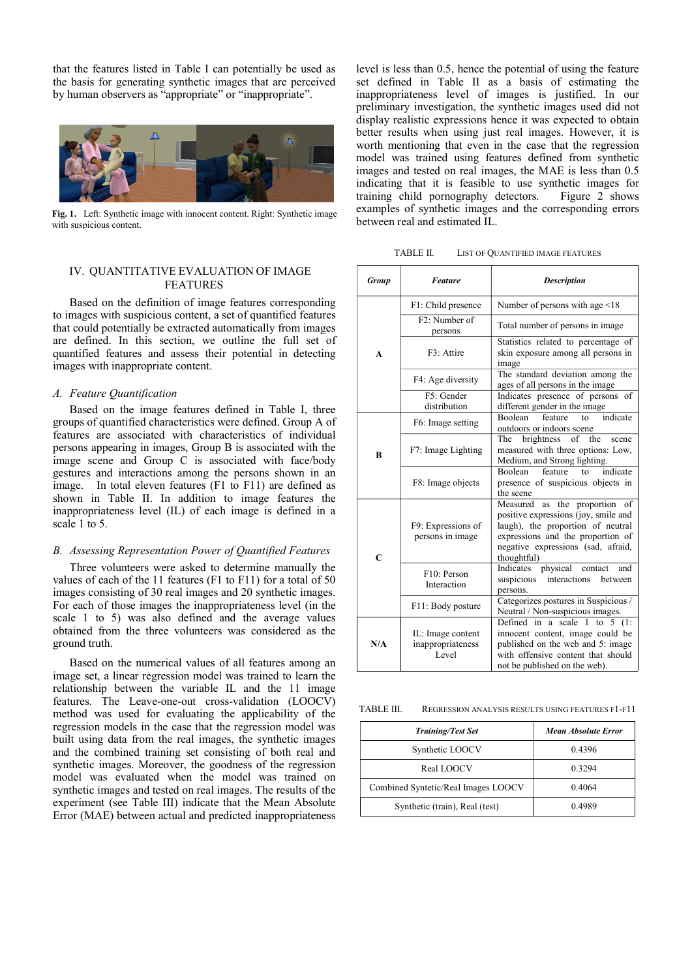that the features listed in Table I can potentially be used as the basis for generating synthetic images that are perceived by human observers as "appropriate" or "inappropriate".



Fig. 1. Left: Synthetic image with innocent content. Right: Synthetic image with suspicious content.

## FEATURES

Based on the definition of image features corresponding to images with suspicious content, a set of quantified features that could potentially be extracted automatically from images are defined. In this section, we outline the full set of quantified features and assess their potential in detecting images with inappropriate content.

Based on the image features defined in Table I, three groups of quantified characteristics were defined. Group A of features are associated with characteristics of individual persons appearing in images, Group B is associated with the image scene and Group C is associated with face/body gestures and interactions among the persons shown in an image. In total eleven features (F1 to F11) are defined as shown in Table II. In addition to image features the inappropriateness level (IL) of each image is defined in a scale 1 to 5. THE TRIMENT INTO THE EVALUATION OF IMAGE<br>
FEATURES<br>
TREATURES<br>
Based on the definition of image features corresponding<br>
that could potentially be extracted automatically from images<br>
are defined. In this section, we outli

Three volunteers were asked to determine manually the values of each of the 11 features (F1 to F11) for a total of 50 images consisting of 30 real images and 20 synthetic images. For each of those images the inappropriateness level (in the scale 1 to 5) was also defined and the average values obtained from the three volunteers was considered as the ground truth.

Based on the numerical values of all features among an image set, a linear regression model was trained to learn the relationship between the variable IL and the 11 image features. The Leave-one-out cross-validation (LOOCV) method was used for evaluating the applicability of the regression models in the case that the regression model was built using data from the real images, the synthetic images and the combined training set consisting of both real and synthetic images. Moreover, the goodness of the regression model was evaluated when the model was trained on synthetic images and tested on real images. The results of the experiment (see Table III) indicate that the Mean Absolute Error (MAE) between actual and predicted inappropriateness

THE INTERNATIVE EVALUATION OF IMAGE<br>
The first of the section word and the section of the set of the set of the set of the set of the set of the set of the set of the set of the set of the set of the set of the set of the level is less than 0.5, hence the potential of using the feature set defined in Table II as a basis of estimating the inappropriateness level of images is justified. In our preliminary investigation, the synthetic images used did not display realistic expressions hence it was expected to obtain better results when using just real images. However, it is worth mentioning that even in the case that the regression model was trained using features defined from synthetic images and tested on real images, the MAE is less than 0.5 indicating that it is feasible to use synthetic images for training child pornography detectors. Figure 2 shows examples of synthetic images and the corresponding errors between real and estimated IL.

| TABLE II. | LIST OF QUANTIFIED IMAGE FEATURES |
|-----------|-----------------------------------|
|-----------|-----------------------------------|

| Group        | <b>Feature</b>                                                                                | <b>Description</b>                                                                                                                                                                                   |  |  |
|--------------|-----------------------------------------------------------------------------------------------|------------------------------------------------------------------------------------------------------------------------------------------------------------------------------------------------------|--|--|
|              | F1: Child presence                                                                            | Number of persons with age $\leq 18$                                                                                                                                                                 |  |  |
|              | F2: Number of<br>persons                                                                      | Total number of persons in image.                                                                                                                                                                    |  |  |
| $\mathbf{A}$ | F <sub>3</sub> : Attire                                                                       | Statistics related to percentage of<br>skin exposure among all persons in<br>image                                                                                                                   |  |  |
|              | F4: Age diversity                                                                             | The standard deviation among the<br>ages of all persons in the image                                                                                                                                 |  |  |
|              | F5: Gender<br>distribution                                                                    | Indicates presence of persons of<br>different gender in the image                                                                                                                                    |  |  |
|              | indicate<br><b>Boolean</b><br>feature<br>to<br>F6: Image setting<br>outdoors or indoors scene |                                                                                                                                                                                                      |  |  |
| B            | F7: Image Lighting                                                                            | brightness of the<br>The<br>scene<br>measured with three options: Low,<br>Medium, and Strong lighting.                                                                                               |  |  |
|              | F8: Image objects                                                                             | <b>Boolean</b><br>feature<br>indicate<br>to<br>presence of suspicious objects in<br>the scene                                                                                                        |  |  |
| $\mathbf C$  | F9: Expressions of<br>persons in image                                                        | Measured as the proportion of<br>positive expressions (joy, smile and<br>laugh), the proportion of neutral<br>expressions and the proportion of<br>negative expressions (sad, afraid,<br>thoughtful) |  |  |
|              | F10: Person<br>Interaction                                                                    | Indicates physical<br>contact<br>and<br>interactions<br>suspicious<br>between<br>persons.                                                                                                            |  |  |
|              | F11: Body posture                                                                             | Categorizes postures in Suspicious /<br>Neutral / Non-suspicious images.                                                                                                                             |  |  |
| N/A          | IL: Image content<br>inappropriateness<br>Level                                               | Defined in a scale 1 to 5 $(1)$ :<br>innocent content, image could be<br>published on the web and 5: image<br>with offensive content that should<br>not be published on the web).                    |  |  |

REGRESSION ANALYSIS RESULTS USING FEATURES EL-F11

| <b>Training/Test Set</b>            | <b>Mean Absolute Error</b> |
|-------------------------------------|----------------------------|
| Synthetic LOOCV                     | 0.4396                     |
| Real LOOCV                          | 0.3294                     |
| Combined Syntetic/Real Images LOOCV | 0.4064                     |
| Synthetic (train), Real (test)      | 0.4989                     |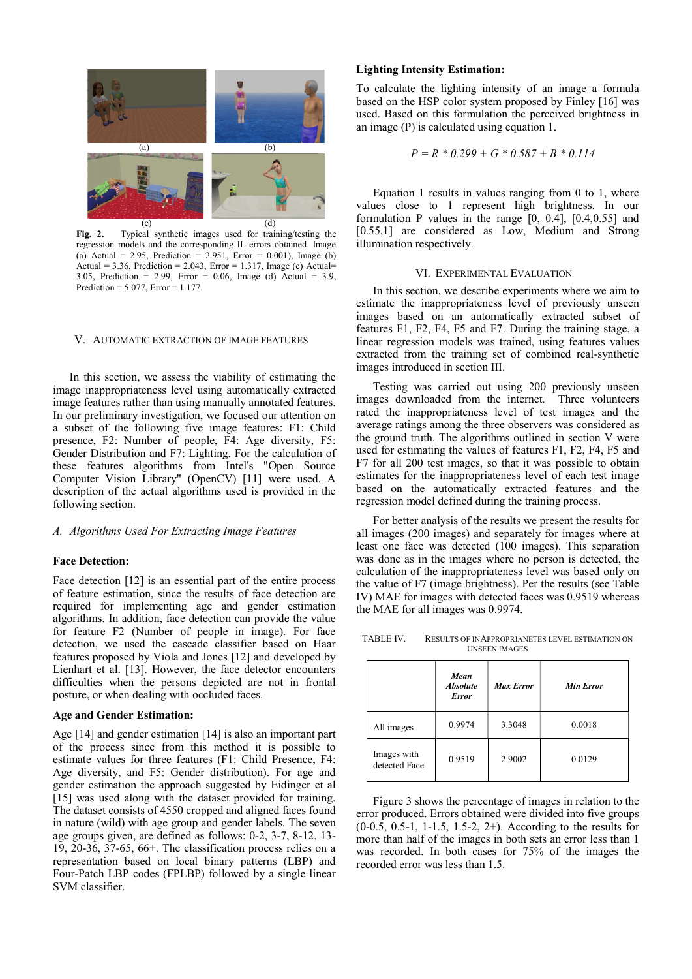

Fig. 2. Typical synthetic images used for training/testing the regression models and the corresponding IL errors obtained. Image (a) Actual = 2.95, Prediction = 2.951, Error =  $0.001$ ), Image (b) Actual = 3.36, Prediction = 2.043, Error = 1.317, Image (c) Actual=<br>3.05. Prediction = 2.99. Error = 0.06. Image (d) Actual = 3.9 VI. EXPERIMENTAL EVALUATION 3.05, Prediction = 2.99, Error = 0.06, Image (d) Actual = 3.9, Prediction =  $5.077$ , Error =  $1.177$ .

In this section, we assess the viability of estimating the image inappropriateness level using automatically extracted image features rather than using manually annotated features. In our preliminary investigation, we focused our attention on a subset of the following five image features: F1: Child presence, F2: Number of people, F4: Age diversity, F5: Gender Distribution and F7: Lighting. For the calculation of these features algorithms from Intel's "Open Source Computer Vision Library" (OpenCV) [11] were used. A description of the actual algorithms used is provided in the following section. Fig. 2. Typical synthetic images used for training testing the [0.55,1] are constant of the corresponding IL errors obtained, Image (i) Arcual = 3.36, Prediction = 2.94, Error = 0.06), Image (e) Actual = 3.9, Prediction =

### Face Detection:

Face detection [12] is an essential part of the entire process of feature estimation, since the results of face detection are required for implementing age and gender estimation algorithms. In addition, face detection can provide the value for feature F2 (Number of people in image). For face detection, we used the cascade classifier based on Haar features proposed by Viola and Jones [12] and developed by Lienhart et al. [13]. However, the face detector encounters difficulties when the persons depicted are not in frontal posture, or when dealing with occluded faces.

### Age and Gender Estimation:

Age [14] and gender estimation [14] is also an important part of the process since from this method it is possible to estimate values for three features (F1: Child Presence, F4: Age diversity, and F5: Gender distribution). For age and gender estimation the approach suggested by Eidinger et al [15] was used along with the dataset provided for training. The dataset consists of 4550 cropped and aligned faces found in nature (wild) with age group and gender labels. The seven age groups given, are defined as follows: 0-2, 3-7, 8-12, 13- 19, 20-36, 37-65, 66+. The classification process relies on a representation based on local binary patterns (LBP) and Four-Patch LBP codes (FPLBP) followed by a single linear SVM classifier.

Lighting Intensity Estimation: To calculate the lighting intensity of an image a formula based on the HSP color system proposed by Finley [16] was used. Based on this formulation the perceived brightness in an image (P) is calculated using equation 1.

$$
P = R * 0.299 + G * 0.587 + B * 0.114
$$

Equation 1 results in values ranging from 0 to 1, where values close to 1 represent high brightness. In our formulation P values in the range [0, 0.4], [0.4,0.55] and [0.55,1] are considered as Low, Medium and Strong illumination respectively.

ensity Estimation:<br>
the lighting intensity of an image a formula<br>
HSP color system proposed by Finley [16] was<br>
on this formulation the perceived brightness in<br>
is calculated using equation 1.<br>  $P = R * 0.299 + G * 0.587 + B * 0.1$ In this section, we describe experiments where we aim to estimate the inappropriateness level of previously unseen images based on an automatically extracted subset of features F1, F2, F4, F5 and F7. During the training stage, a linear regression models was trained, using features values extracted from the training set of combined real-synthetic images introduced in section III.

Testing was carried out using 200 previously unseen images downloaded from the internet. Three volunteers rated the inappropriateness level of test images and the average ratings among the three observers was considered as the ground truth. The algorithms outlined in section V were used for estimating the values of features F1, F2, F4, F5 and F7 for all 200 test images, so that it was possible to obtain estimates for the inappropriateness level of each test image based on the automatically extracted features and the regression model defined during the training process.

For better analysis of the results we present the results for all images (200 images) and separately for images where at least one face was detected (100 images). This separation was done as in the images where no person is detected, the calculation of the inappropriateness level was based only on the value of F7 (image brightness). Per the results (see Table IV) MAE for images with detected faces was 0.9519 whereas the MAE for all images was 0.9974.

RESULTS OF INAPPROPRIANETES LEVEL ESTIMATION ON UNSEEN IMAGES

|                              | Mean<br><b>Absolute</b><br><b>Error</b> | <b>Max Error</b> | <b>Min Error</b> |
|------------------------------|-----------------------------------------|------------------|------------------|
| All images                   | 0.9974                                  | 3.3048           | 0.0018           |
| Images with<br>detected Face | 0.9519                                  | 2.9002           | 0.0129           |

Figure 3 shows the percentage of images in relation to the error produced. Errors obtained were divided into five groups (0-0.5, 0.5-1, 1-1.5, 1.5-2, 2+). According to the results for more than half of the images in both sets an error less than 1 was recorded. In both cases for 75% of the images the recorded error was less than 1.5.